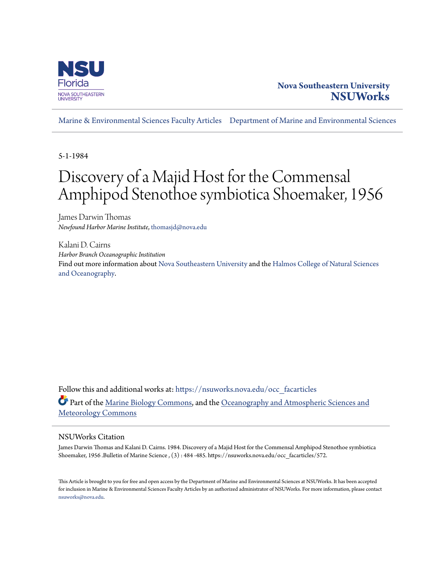

# **Nova Southeastern University [NSUWorks](https://nsuworks.nova.edu?utm_source=nsuworks.nova.edu%2Focc_facarticles%2F572&utm_medium=PDF&utm_campaign=PDFCoverPages)**

[Marine & Environmental Sciences Faculty Articles](https://nsuworks.nova.edu/occ_facarticles?utm_source=nsuworks.nova.edu%2Focc_facarticles%2F572&utm_medium=PDF&utm_campaign=PDFCoverPages) [Department of Marine and Environmental Sciences](https://nsuworks.nova.edu/cnso_mes?utm_source=nsuworks.nova.edu%2Focc_facarticles%2F572&utm_medium=PDF&utm_campaign=PDFCoverPages)

5-1-1984

# Discovery of a Majid Host for the Commensal Amphipod Stenothoe symbiotica Shoemaker, 1956

James Darwin Thomas *Newfound Harbor Marine Institute*, thomasjd@nova.edu

Kalani D. Cairns *Harbor Branch Oceanographic Institution* Find out more information about [Nova Southeastern University](http://www.nova.edu/) and the [Halmos College of Natural Sciences](https://cnso.nova.edu) [and Oceanography.](https://cnso.nova.edu)

Follow this and additional works at: [https://nsuworks.nova.edu/occ\\_facarticles](https://nsuworks.nova.edu/occ_facarticles?utm_source=nsuworks.nova.edu%2Focc_facarticles%2F572&utm_medium=PDF&utm_campaign=PDFCoverPages) Part of the [Marine Biology Commons,](http://network.bepress.com/hgg/discipline/1126?utm_source=nsuworks.nova.edu%2Focc_facarticles%2F572&utm_medium=PDF&utm_campaign=PDFCoverPages) and the [Oceanography and Atmospheric Sciences and](http://network.bepress.com/hgg/discipline/186?utm_source=nsuworks.nova.edu%2Focc_facarticles%2F572&utm_medium=PDF&utm_campaign=PDFCoverPages) [Meteorology Commons](http://network.bepress.com/hgg/discipline/186?utm_source=nsuworks.nova.edu%2Focc_facarticles%2F572&utm_medium=PDF&utm_campaign=PDFCoverPages)

## NSUWorks Citation

James Darwin Thomas and Kalani D. Cairns. 1984. Discovery of a Majid Host for the Commensal Amphipod Stenothoe symbiotica Shoemaker, 1956 .Bulletin of Marine Science , (3) : 484 -485. https://nsuworks.nova.edu/occ\_facarticles/572.

This Article is brought to you for free and open access by the Department of Marine and Environmental Sciences at NSUWorks. It has been accepted for inclusion in Marine & Environmental Sciences Faculty Articles by an authorized administrator of NSUWorks. For more information, please contact [nsuworks@nova.edu.](mailto:nsuworks@nova.edu)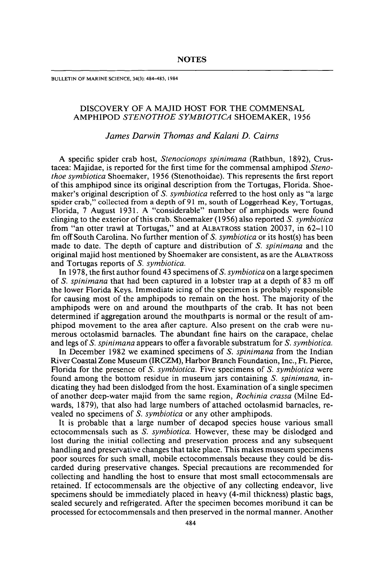BULLETIN OF MARINE SCIENCE, 34(3): 484-485, 1984

### DISCOVERY OF A MAJID HOST FOR THE COMMENSAL AMPHIPOD *STENOTHOE SYMBIOTICA* SHOEMAKER, 1956

#### *James Darwin Thomas and Kalani D. Cairns*

A specific spider crab host, *Stenocionops spinimana* (Rathbun, 1892), Crustacea: Majidae, is reported for the first time for the commensal amphipod *Stenothoe symbiotica* Shoemaker, 1956 (Stenothoidae). This represents the first report of this amphipod since its original description from the Tortugas, Florida. Shoemaker's original description of S. *symbiotica* referred to the host only as "a large spider crab," collected from a depth of 91 m, south of Loggerhead Key, Tortugas, Florida, 7 August 1931. A "considerable" number of amphipods were found clinging to the exterior of this crab. Shoemaker (1956) also reported S. *symbiotica* from "an otter trawl at Tortugas," and at ALBATROSS station 20037, in 62-110 fm off South Carolina. No further mention of S. *symbiotica* or its host(s) has been made to date. The depth of capture and distribution of S. *spinimana* and the original majid host mentioned by Shoemaker are consistent, as are the ALBATROSS and Tortugas reports of S. *symbiotica.*

In 1978, the first author found 43 specimens of S. *symbiotica* on a large specimen of S. *spinimana* that had been captured in a lobster trap at a depth of 83 m off the lower Florida Keys. Immediate icing of the specimen is probably responsible for causing most of the amphipods to remain on the host. The majority of the amphipods were on and around the mouthparts of the crab. It has not been determined if aggregation around the mouthparts is normal or the result of amphipod movement to the area after capture. Also present on the crab were numerous octolasmid barnacles. The abundant fine hairs on the carapace, chelae and legs of S. *spinimana* appears to offer a favorable substratum for S. *symbiotica.*

In December 1982 we examined specimens of S. *spinimana* from the Indian River Coastal Zone Museum (IRCZM), Harbor Branch Foundation, Inc., Ft. Pierce, Florida for the presence of S. *symbiotica.* Five specimens of S. *symbiotica* were found among the bottom residue in museum jars containing S. *spinimana,* indicating they had been dislodged from the host. Examination of a single specimen of another deep-water majid from the same region, *Rochinia crassa* (Milne Edwards, 1879), that also had large numbers of attached octolasmid barnacles, revealed no specimens of S. *symbiotica* or any other amphipods.

It is probable that a large number of decapod species house various small ectocommensals such as S. *symbiotica.* However, these may be dislodged and lost during the initial collecting and preservation process and any subsequent handling and preservative changes that take place. This makes museum specimens poor sources for such small, mobile ectocommensals because they could be discarded during preservative changes. Special precautions are recommended for collecting and handling the host to ensure that most small ectocommensals are retained. If ectocommensals are the objective of any collecting endeavor, live specimens should be immediately placed in heavy (4-mil thickness) plastic bags, sealed securely and refrigerated. After the specimen becomes moribund it can be processed for ectocommensals and then preserved in the normal manner. Another